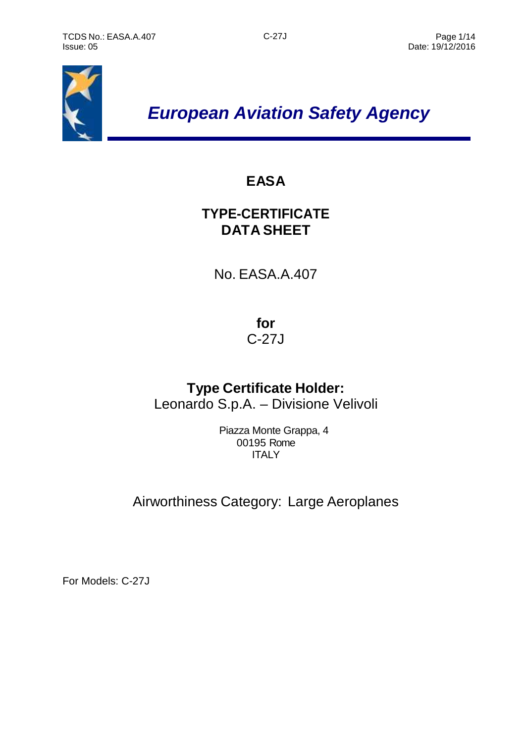

# **European Aviation Safety Agency**

## **EASA**

## **TYPE-CERTIFICATE DATA SHEET**

No. EASA.A.407

**for** C-27J

## **Type Certificate Holder:**

Leonardo S.p.A. – Divisione Velivoli

Piazza Monte Grappa, 4 00195 Rome ITALY

## Airworthiness Category: Large Aeroplanes

For Models: C-27J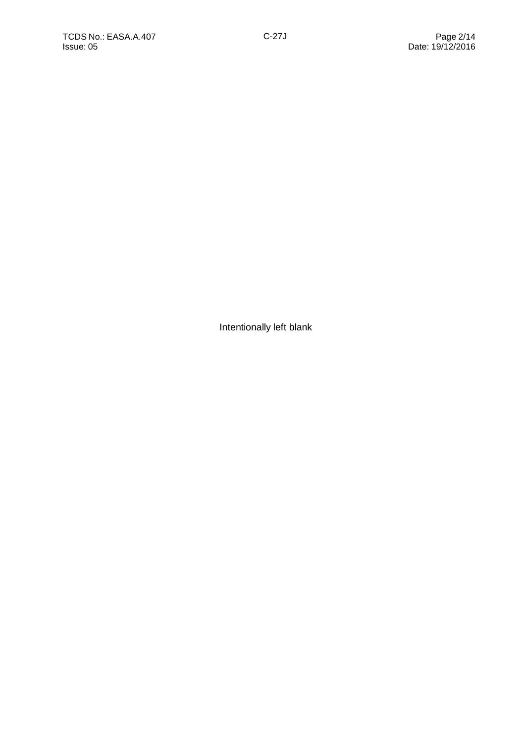Intentionally left blank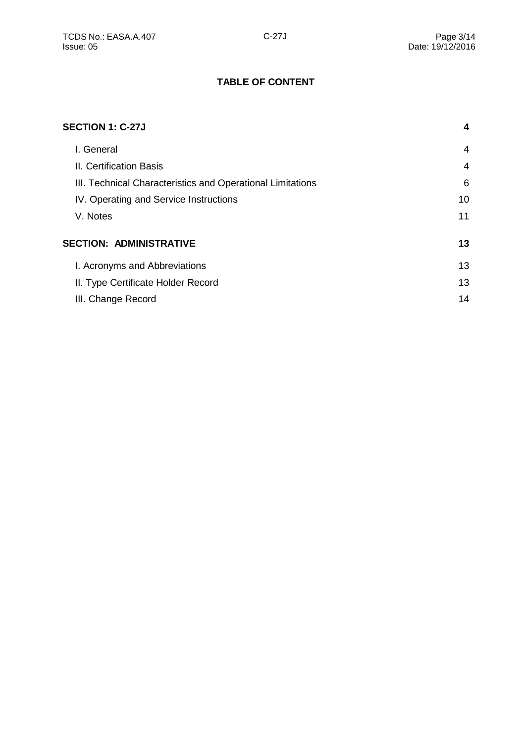## **TABLE OF CONTENT**

| <b>SECTION 1: C-27J</b>                                    | 4  |
|------------------------------------------------------------|----|
| I. General                                                 | 4  |
| <b>II. Certification Basis</b>                             | 4  |
| III. Technical Characteristics and Operational Limitations | 6  |
| IV. Operating and Service Instructions                     | 10 |
| V. Notes                                                   | 11 |
| <b>SECTION: ADMINISTRATIVE</b>                             | 13 |
| I. Acronyms and Abbreviations                              | 13 |
| II. Type Certificate Holder Record                         | 13 |
| III. Change Record                                         | 14 |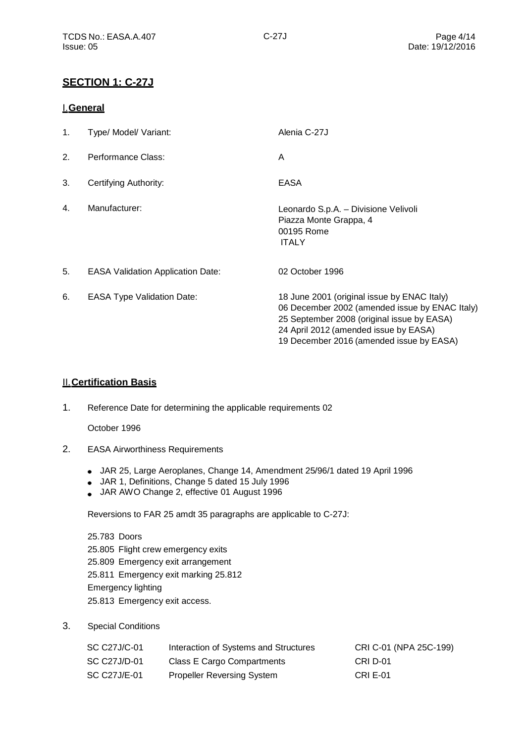## **SECTION 1: C-27J**

### I. **General**

| 1. | Type/ Model/ Variant:                    | Alenia C-27J                                                                                                                                                                                                                     |
|----|------------------------------------------|----------------------------------------------------------------------------------------------------------------------------------------------------------------------------------------------------------------------------------|
| 2. | Performance Class:                       | A                                                                                                                                                                                                                                |
| 3. | Certifying Authority:                    | EASA                                                                                                                                                                                                                             |
| 4. | Manufacturer:                            | Leonardo S.p.A. - Divisione Velivoli<br>Piazza Monte Grappa, 4<br>00195 Rome<br><b>ITALY</b>                                                                                                                                     |
| 5. | <b>EASA Validation Application Date:</b> | 02 October 1996                                                                                                                                                                                                                  |
| 6. | <b>EASA Type Validation Date:</b>        | 18 June 2001 (original issue by ENAC Italy)<br>06 December 2002 (amended issue by ENAC Italy)<br>25 September 2008 (original issue by EASA)<br>24 April 2012 (amended issue by EASA)<br>19 December 2016 (amended issue by EASA) |

## II. **Certification Basis**

1. Reference Date for determining the applicable requirements 02

October 1996

- 2. EASA Airworthiness Requirements
	- JAR 25, Large Aeroplanes, Change 14, Amendment 25/96/1 dated 19 April 1996
	- JAR 1, Definitions, Change 5 dated 15 July 1996
	- JAR AWO Change 2, effective 01 August 1996  $\bullet$

Reversions to FAR 25 amdt 35 paragraphs are applicable to C-27J:

25.783 Doors 25.805 Flight crew emergency exits 25.809 Emergency exit arrangement 25.811 Emergency exit marking 25.812 Emergency lighting 25.813 Emergency exit access.

3. Special Conditions

| SC C27J/C-01 | Interaction of Systems and Structures | CRI C-01 (NPA 25C-199) |
|--------------|---------------------------------------|------------------------|
| SC C27J/D-01 | Class E Cargo Compartments            | CRI D-01               |
| SC C27J/E-01 | <b>Propeller Reversing System</b>     | CRI E-01               |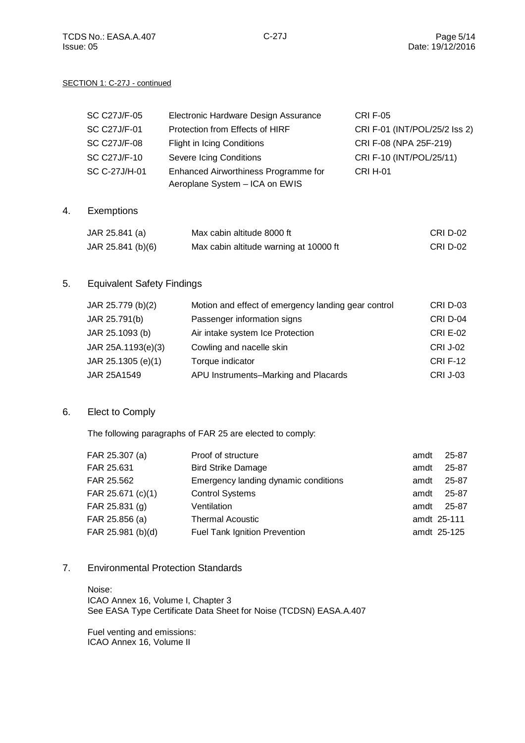| SC C27J/F-05        | Electronic Hardware Design Assurance | <b>CRI F-05</b>               |
|---------------------|--------------------------------------|-------------------------------|
| SC C27J/F-01        | Protection from Effects of HIRF      | CRI F-01 (INT/POL/25/2 lss 2) |
| <b>SC C27J/F-08</b> | Flight in Icing Conditions           | CRI F-08 (NPA 25F-219)        |
| <b>SC C27J/F-10</b> | Severe Icing Conditions              | CRI F-10 (INT/POL/25/11)      |
| SC C-27J/H-01       | Enhanced Airworthiness Programme for | <b>CRI H-01</b>               |
|                     | Aeroplane System - ICA on EWIS       |                               |

### 4. Exemptions

| JAR 25.841 (a)    | Max cabin altitude 8000 ft             | CRI D-02 |
|-------------------|----------------------------------------|----------|
| JAR 25.841 (b)(6) | Max cabin altitude warning at 10000 ft | CRI D-02 |

### 5. Equivalent Safety Findings

| JAR 25.779 (b)(2)  | Motion and effect of emergency landing gear control | <b>CRI D-03</b> |
|--------------------|-----------------------------------------------------|-----------------|
| JAR 25.791(b)      | Passenger information signs                         | <b>CRI D-04</b> |
| JAR 25.1093 (b)    | Air intake system Ice Protection                    | <b>CRI E-02</b> |
| JAR 25A.1193(e)(3) | Cowling and nacelle skin                            | <b>CRI J-02</b> |
| JAR 25.1305 (e)(1) | Torque indicator                                    | <b>CRI F-12</b> |
| JAR 25A1549        | APU Instruments-Marking and Placards                | <b>CRI J-03</b> |

## 6. Elect to Comply

The following paragraphs of FAR 25 are elected to comply:

| FAR 25.307 (a)    | Proof of structure                   | amdt | 25-87       |
|-------------------|--------------------------------------|------|-------------|
| FAR 25.631        | <b>Bird Strike Damage</b>            | amdt | 25-87       |
| FAR 25.562        | Emergency landing dynamic conditions | amdt | 25-87       |
| FAR 25.671 (c)(1) | <b>Control Systems</b>               | amdt | 25-87       |
| FAR $25.831$ (g)  | Ventilation                          | amdt | 25-87       |
| FAR 25.856 (a)    | <b>Thermal Acoustic</b>              |      | amdt 25-111 |
| FAR 25.981 (b)(d) | <b>Fuel Tank Ignition Prevention</b> |      | amdt 25-125 |

#### 7. Environmental Protection Standards

Noise:

ICAO Annex 16, Volume I, Chapter 3 See EASA Type Certificate Data Sheet for Noise (TCDSN) EASA.A.407

Fuel venting and emissions: ICAO Annex 16, Volume II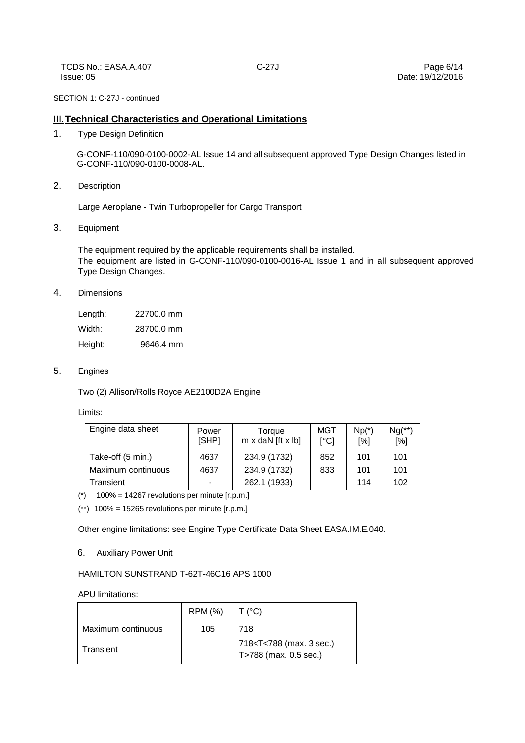#### **III. Technical Characteristics and Operational Limitations**

1. Type Design Definition

G-CONF-110/090-0100-0002-AL Issue 14 and all subsequent approved Type Design Changes listed in G-CONF-110/090-0100-0008-AL.

2. Description

Large Aeroplane - Twin Turbopropeller for Cargo Transport

3. Equipment

The equipment required by the applicable requirements shall be installed. The equipment are listed in G-CONF-110/090-0100-0016-AL Issue 1 and in all subsequent approved Type Design Changes.

#### 4. Dimensions

| Length: | 22700.0 mm |
|---------|------------|
| Width:  | 28700.0 mm |
| Height: | 9646.4 mm  |

#### 5. Engines

Two (2) Allison/Rolls Royce AE2100D2A Engine

#### Limits:

| Engine data sheet  | Power<br>[SHP] | Torque<br>$m \times$ daN [ft x lb] | MGT<br>$\lceil$ °C] | $Np(*)$<br>[%] | $Ng(*)$<br>[%] |
|--------------------|----------------|------------------------------------|---------------------|----------------|----------------|
| Take-off (5 min.)  | 4637           | 234.9 (1732)                       | 852                 | 101            | 101            |
| Maximum continuous | 4637           | 234.9 (1732)                       | 833                 | 101            | 101            |
| Transient          | $\,$           | 262.1 (1933)                       |                     | 114            | 102            |

(\*)  $100\% = 14267$  revolutions per minute [r.p.m.]

 $(**)$  100% = 15265 revolutions per minute  $[r.p.m.]$ 

Other engine limitations: see Engine Type Certificate Data Sheet EASA.IM.E.040.

#### 6. Auxiliary Power Unit

#### HAMILTON SUNSTRAND T-62T-46C16 APS 1000

#### APU limitations:

|                    | <b>RPM (%)</b> | T (°C)                                                                |
|--------------------|----------------|-----------------------------------------------------------------------|
| Maximum continuous | 105            | 718                                                                   |
| Transient          |                | 718 <t<788 (max.="" 3="" sec.)<br="">T&gt;788 (max. 0.5 sec.)</t<788> |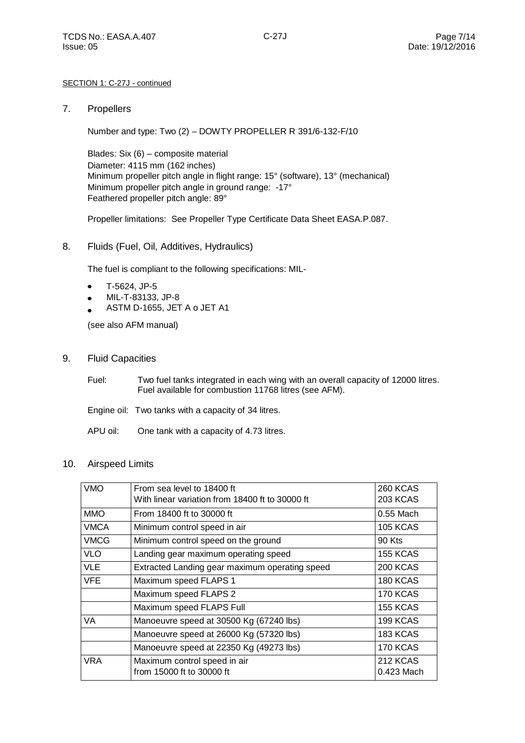7. Propellers

Number and type: Two (2) – DOWTY PROPELLER R 391/6-132-F/10

Blades: Six (6) – composite material Diameter: 4115 mm (162 inches) Minimum propeller pitch angle in flight range: 15° (software), 13° (mechanical) Minimum propeller pitch angle in ground range: -17° Feathered propeller pitch angle: 89°

Propeller limitations: See Propeller Type Certificate Data Sheet EASA.P.087.

8. Fluids (Fuel, Oil, Additives, Hydraulics)

The fuel is compliant to the following specifications: MIL-

- T-5624, JP-5
- MIL-T-83133, JP-8
- ASTM D-1655, JET A o JET A1

(see also AFM manual)

#### 9. Fluid Capacities

Fuel: Two fuel tanks integrated in each wing with an overall capacity of 12000 litres. Fuel available for combustion 11768 litres (see AFM).

- Engine oil: Two tanks with a capacity of 34 litres.
- APU oil: One tank with a capacity of 4.73 litres.

#### 10. Airspeed Limits

| <b>VMO</b> | From sea level to 18400 ft                                        | <b>260 KCAS</b> |
|------------|-------------------------------------------------------------------|-----------------|
|            | With linear variation from 18400 ft to 30000 ft                   | <b>203 KCAS</b> |
| <b>MMO</b> | From 18400 ft to 30000 ft                                         | $0.55$ Mach     |
| VMCA       | Minimum control speed in air                                      | <b>105 KCAS</b> |
| VMCG       | Minimum control speed on the ground                               | 90 Kts          |
| VLO        | Landing gear maximum operating speed                              | <b>155 KCAS</b> |
| <b>VLE</b> | Extracted Landing gear maximum operating speed<br><b>200 KCAS</b> |                 |
| VFE.       | Maximum speed FLAPS 1                                             | <b>180 KCAS</b> |
|            | Maximum speed FLAPS 2                                             | <b>170 KCAS</b> |
|            | Maximum speed FLAPS Full                                          | <b>155 KCAS</b> |
| VA         | Manoeuvre speed at 30500 Kg (67240 lbs)                           | <b>199 KCAS</b> |
|            | Manoeuvre speed at 26000 Kg (57320 lbs)                           | 183 KCAS        |
|            | Manoeuvre speed at 22350 Kg (49273 lbs)                           | <b>170 KCAS</b> |
| VRA        | Maximum control speed in air                                      | <b>212 KCAS</b> |
|            | from 15000 ft to 30000 ft                                         | $0.423$ Mach    |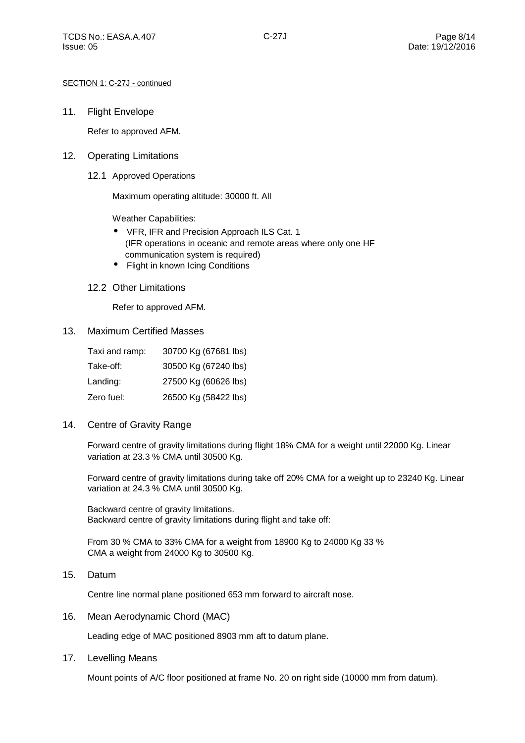11. Flight Envelope

Refer to approved AFM.

- 12. Operating Limitations
	- 12.1 Approved Operations

Maximum operating altitude: 30000 ft. All

Weather Capabilities:

- VFR, IFR and Precision Approach ILS Cat. 1 (IFR operations in oceanic and remote areas where only one HF communication system is required)
- Flight in known Icing Conditions
- 12.2 Other Limitations

Refer to approved AFM.

#### 13. Maximum Certified Masses

| Taxi and ramp: | 30700 Kg (67681 lbs) |
|----------------|----------------------|
| Take-off:      | 30500 Kg (67240 lbs) |
| Landing:       | 27500 Kg (60626 lbs) |
| Zero fuel:     | 26500 Kg (58422 lbs) |

14. Centre of Gravity Range

Forward centre of gravity limitations during flight 18% CMA for a weight until 22000 Kg. Linear variation at 23.3 % CMA until 30500 Kg.

Forward centre of gravity limitations during take off 20% CMA for a weight up to 23240 Kg. Linear variation at 24.3 % CMA until 30500 Kg.

Backward centre of gravity limitations. Backward centre of gravity limitations during flight and take off:

From 30 % CMA to 33% CMA for a weight from 18900 Kg to 24000 Kg 33 % CMA a weight from 24000 Kg to 30500 Kg.

15. Datum

Centre line normal plane positioned 653 mm forward to aircraft nose.

#### 16. Mean Aerodynamic Chord (MAC)

Leading edge of MAC positioned 8903 mm aft to datum plane.

#### 17. Levelling Means

Mount points of A/C floor positioned at frame No. 20 on right side (10000 mm from datum).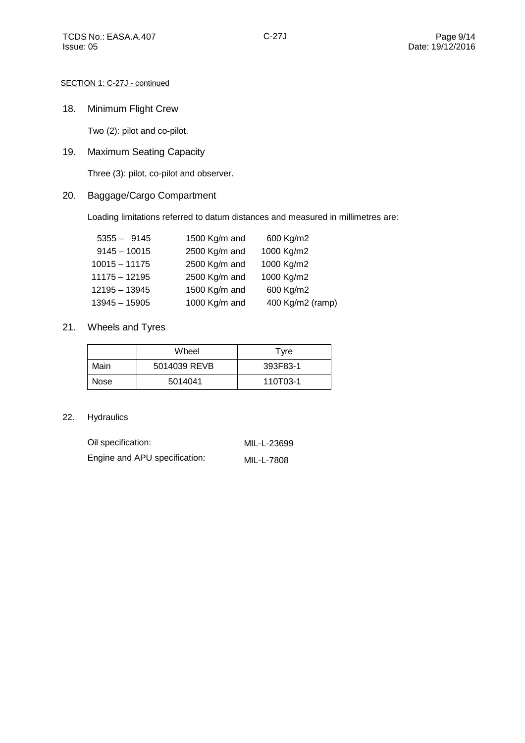18. Minimum Flight Crew

Two (2): pilot and co-pilot.

19. Maximum Seating Capacity

Three (3): pilot, co-pilot and observer.

## 20. Baggage/Cargo Compartment

Loading limitations referred to datum distances and measured in millimetres are:

| $5355 - 9145$   | 1500 Kg/m and | 600 Kg/m2        |
|-----------------|---------------|------------------|
| $9145 - 10015$  | 2500 Kg/m and | 1000 Kg/m2       |
| $10015 - 11175$ | 2500 Kg/m and | 1000 Kg/m2       |
| $11175 - 12195$ | 2500 Kg/m and | 1000 Kg/m2       |
| 12195 - 13945   | 1500 Kg/m and | 600 Kg/m2        |
| 13945 - 15905   | 1000 Kg/m and | 400 Kg/m2 (ramp) |

## 21. Wheels and Tyres

|             | Wheel        | Tyre     |
|-------------|--------------|----------|
| Main        | 5014039 REVB | 393F83-1 |
| <b>Nose</b> | 5014041      | 110T03-1 |

#### 22. Hydraulics

| Oil specification:            | MIL-L-23699 |
|-------------------------------|-------------|
| Engine and APU specification: | MIL-L-7808  |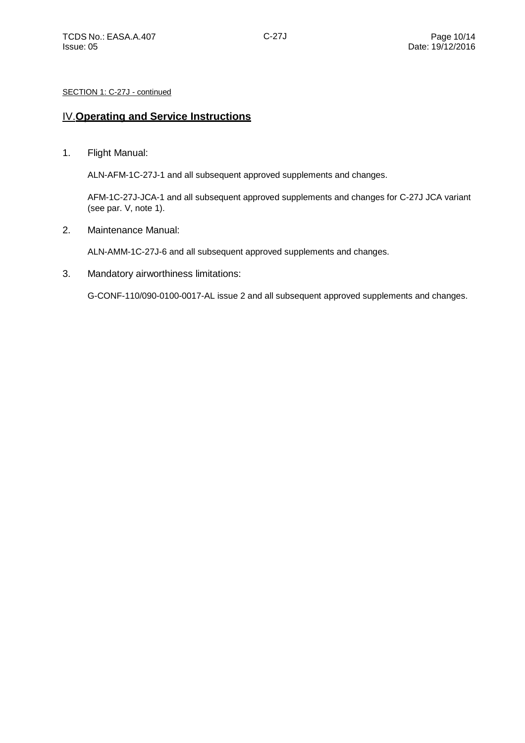## IV. **Operating and Service Instructions**

1. Flight Manual:

ALN-AFM-1C-27J-1 and all subsequent approved supplements and changes.

AFM-1C-27J-JCA-1 and all subsequent approved supplements and changes for C-27J JCA variant (see par. V, note 1).

2. Maintenance Manual:

ALN-AMM-1C-27J-6 and all subsequent approved supplements and changes.

3. Mandatory airworthiness limitations:

G-CONF-110/090-0100-0017-AL issue 2 and all subsequent approved supplements and changes.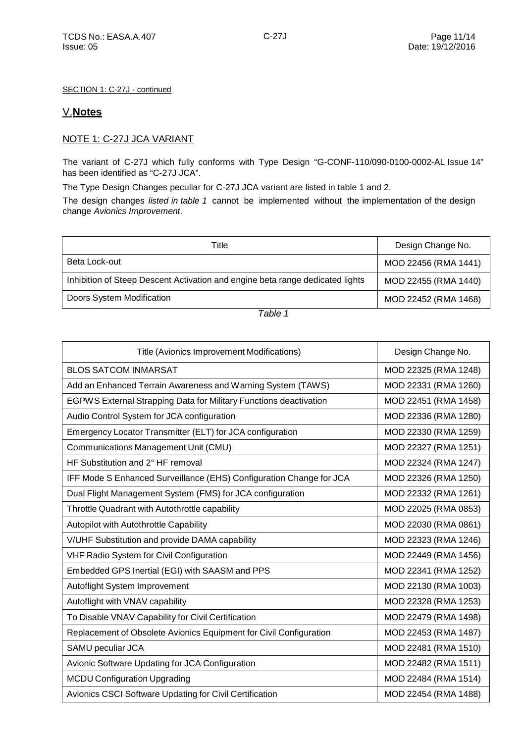## V. **Notes**

## NOTE 1: C-27J JCA VARIANT

The variant of C-27J which fully conforms with Type Design "G-CONF-110/090-0100-0002-AL Issue 14" has been identified as "C-27J JCA".

The Type Design Changes peculiar for C-27J JCA variant are listed in table 1 and 2.

The design changes listed in table 1 cannot be implemented without the implementation of the design change Avionics Improvement.

| Title                                                                         | Design Change No.    |
|-------------------------------------------------------------------------------|----------------------|
| Beta Lock-out                                                                 | MOD 22456 (RMA 1441) |
| Inhibition of Steep Descent Activation and engine beta range dedicated lights | MOD 22455 (RMA 1440) |
| Doors System Modification                                                     | MOD 22452 (RMA 1468) |

Table 1

| Title (Avionics Improvement Modifications)                               | Design Change No.    |
|--------------------------------------------------------------------------|----------------------|
| <b>BLOS SATCOM INMARSAT</b>                                              | MOD 22325 (RMA 1248) |
| Add an Enhanced Terrain Awareness and Warning System (TAWS)              | MOD 22331 (RMA 1260) |
| <b>EGPWS External Strapping Data for Military Functions deactivation</b> | MOD 22451 (RMA 1458) |
| Audio Control System for JCA configuration                               | MOD 22336 (RMA 1280) |
| Emergency Locator Transmitter (ELT) for JCA configuration                | MOD 22330 (RMA 1259) |
| Communications Management Unit (CMU)                                     | MOD 22327 (RMA 1251) |
| HF Substitution and 2° HF removal                                        | MOD 22324 (RMA 1247) |
| IFF Mode S Enhanced Surveillance (EHS) Configuration Change for JCA      | MOD 22326 (RMA 1250) |
| Dual Flight Management System (FMS) for JCA configuration                | MOD 22332 (RMA 1261) |
| Throttle Quadrant with Autothrottle capability                           | MOD 22025 (RMA 0853) |
| Autopilot with Autothrottle Capability                                   | MOD 22030 (RMA 0861) |
| V/UHF Substitution and provide DAMA capability                           | MOD 22323 (RMA 1246) |
| VHF Radio System for Civil Configuration                                 | MOD 22449 (RMA 1456) |
| Embedded GPS Inertial (EGI) with SAASM and PPS                           | MOD 22341 (RMA 1252) |
| Autoflight System Improvement                                            | MOD 22130 (RMA 1003) |
| Autoflight with VNAV capability                                          | MOD 22328 (RMA 1253) |
| To Disable VNAV Capability for Civil Certification                       | MOD 22479 (RMA 1498) |
| Replacement of Obsolete Avionics Equipment for Civil Configuration       | MOD 22453 (RMA 1487) |
| SAMU peculiar JCA                                                        | MOD 22481 (RMA 1510) |
| Avionic Software Updating for JCA Configuration                          | MOD 22482 (RMA 1511) |
| <b>MCDU Configuration Upgrading</b>                                      | MOD 22484 (RMA 1514) |
| Avionics CSCI Software Updating for Civil Certification                  | MOD 22454 (RMA 1488) |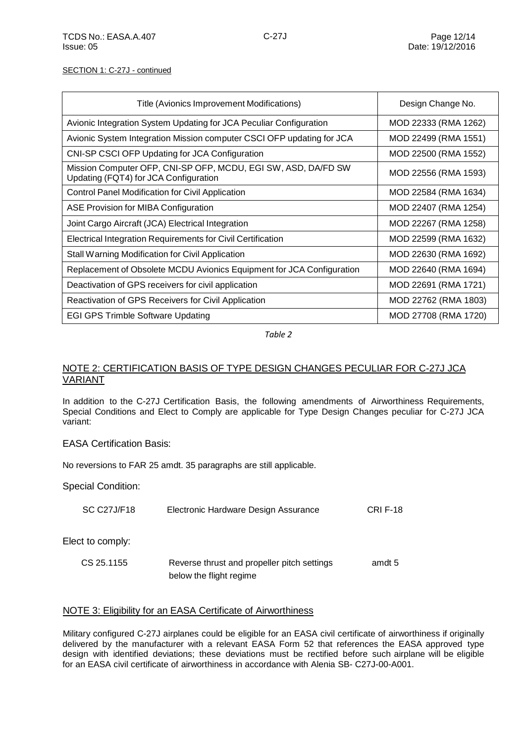| Title (Avionics Improvement Modifications)                                                             | Design Change No.    |  |
|--------------------------------------------------------------------------------------------------------|----------------------|--|
| Avionic Integration System Updating for JCA Peculiar Configuration                                     | MOD 22333 (RMA 1262) |  |
| Avionic System Integration Mission computer CSCI OFP updating for JCA                                  | MOD 22499 (RMA 1551) |  |
| CNI-SP CSCI OFP Updating for JCA Configuration                                                         | MOD 22500 (RMA 1552) |  |
| Mission Computer OFP, CNI-SP OFP, MCDU, EGI SW, ASD, DA/FD SW<br>Updating (FQT4) for JCA Configuration | MOD 22556 (RMA 1593) |  |
| Control Panel Modification for Civil Application                                                       | MOD 22584 (RMA 1634) |  |
| ASE Provision for MIBA Configuration                                                                   | MOD 22407 (RMA 1254) |  |
| Joint Cargo Aircraft (JCA) Electrical Integration                                                      | MOD 22267 (RMA 1258) |  |
| Electrical Integration Requirements for Civil Certification                                            | MOD 22599 (RMA 1632) |  |
| Stall Warning Modification for Civil Application                                                       | MOD 22630 (RMA 1692) |  |
| Replacement of Obsolete MCDU Avionics Equipment for JCA Configuration                                  | MOD 22640 (RMA 1694) |  |
| Deactivation of GPS receivers for civil application                                                    | MOD 22691 (RMA 1721) |  |
| Reactivation of GPS Receivers for Civil Application                                                    | MOD 22762 (RMA 1803) |  |
| <b>EGI GPS Trimble Software Updating</b>                                                               | MOD 27708 (RMA 1720) |  |

*Table 2*

### NOTE 2: CERTIFICATION BASIS OF TYPE DESIGN CHANGES PECULIAR FOR C-27J JCA VARIANT

In addition to the C-27J Certification Basis, the following amendments of Airworthiness Requirements, Special Conditions and Elect to Comply are applicable for Type Design Changes peculiar for C-27J JCA variant:

EASA Certification Basis:

No reversions to FAR 25 amdt. 35 paragraphs are still applicable.

Special Condition:

| <b>SC C27J/F18</b> | Electronic Hardware Design Assurance                                   | <b>CRI F-18</b> |
|--------------------|------------------------------------------------------------------------|-----------------|
| Elect to comply:   |                                                                        |                 |
| CS 25.1155         | Reverse thrust and propeller pitch settings<br>below the flight regime | amdt 5          |

#### NOTE 3: Eligibility for an EASA Certificate of Airworthiness

Military configured C-27J airplanes could be eligible for an EASA civil certificate of airworthiness if originally delivered by the manufacturer with a relevant EASA Form 52 that references the EASA approved type design with identified deviations; these deviations must be rectified before such airplane will be eligible for an EASA civil certificate of airworthiness in accordance with Alenia SB- C27J-00-A001.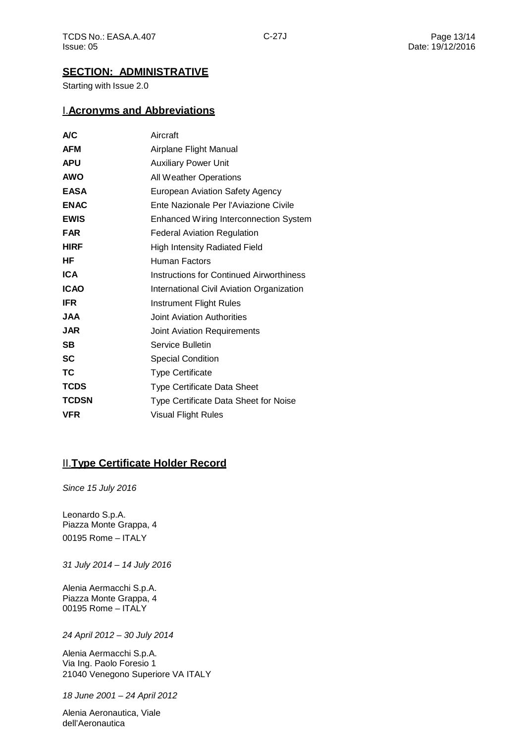## **SECTION: ADMINISTRATIVE**

Starting with Issue 2.0

## I.**Acronyms and Abbreviations**

| A/C          | Aircraft                                         |
|--------------|--------------------------------------------------|
| <b>AFM</b>   | Airplane Flight Manual                           |
| <b>APU</b>   | <b>Auxiliary Power Unit</b>                      |
| <b>AWO</b>   | All Weather Operations                           |
| <b>EASA</b>  | <b>European Aviation Safety Agency</b>           |
| <b>ENAC</b>  | Ente Nazionale Per l'Aviazione Civile            |
| <b>EWIS</b>  | <b>Enhanced Wiring Interconnection System</b>    |
| <b>FAR</b>   | <b>Federal Aviation Regulation</b>               |
| <b>HIRF</b>  | <b>High Intensity Radiated Field</b>             |
| ΗF           | Human Factors                                    |
| <b>ICA</b>   | Instructions for Continued Airworthiness         |
| <b>ICAO</b>  | <b>International Civil Aviation Organization</b> |
| <b>IFR</b>   | <b>Instrument Flight Rules</b>                   |
| <b>JAA</b>   | <b>Joint Aviation Authorities</b>                |
| <b>JAR</b>   | <b>Joint Aviation Requirements</b>               |
| <b>SB</b>    | Service Bulletin                                 |
| <b>SC</b>    | <b>Special Condition</b>                         |
| <b>TC</b>    | <b>Type Certificate</b>                          |
| <b>TCDS</b>  | <b>Type Certificate Data Sheet</b>               |
| <b>TCDSN</b> | Type Certificate Data Sheet for Noise            |
| <b>VFR</b>   | <b>Visual Flight Rules</b>                       |

## II. **Type Certificate Holder Record**

Since 15 July 2016

Leonardo S.p.A. Piazza Monte Grappa, 4 00195 Rome – ITALY

31 July 2014 – 14 July 2016

Alenia Aermacchi S.p.A. Piazza Monte Grappa, 4 00195 Rome – ITALY

24 April 2012 – 30 July 2014

Alenia Aermacchi S.p.A. Via Ing. Paolo Foresio 1 21040 Venegono Superiore VA ITALY

18 June 2001 – 24 April 2012

Alenia Aeronautica, Viale dell'Aeronautica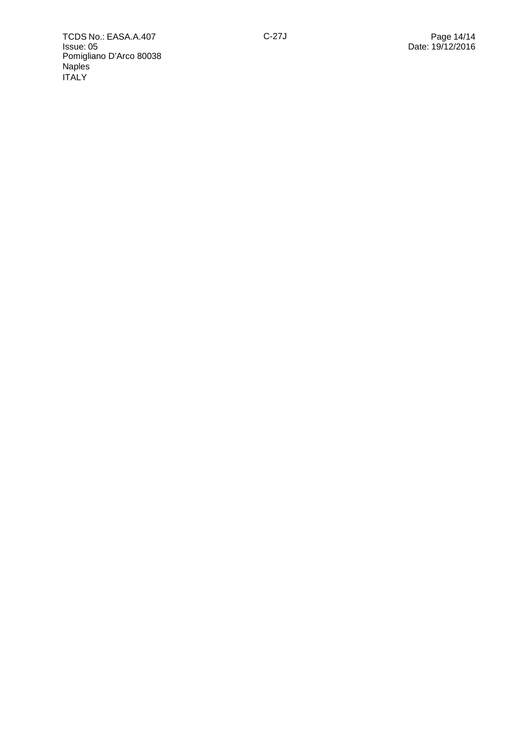TCDS No.: EASA.A.407 Issue: 05 Pomigliano D'Arco 80038 Naples ITALY